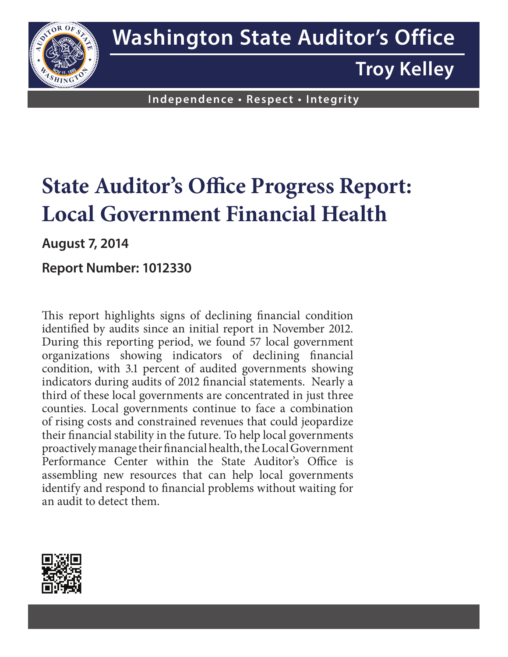

**Troy Kelley**

**Independence • Respect • Integrity**

# **State Auditor's Office Progress Report: Local Government Financial Health**

**August 7, 2014**

## **Report Number: 1012330**

This report highlights signs of declining financial condition identified by audits since an initial report in November 2012. During this reporting period, we found 57 local government organizations showing indicators of declining financial condition, with 3.1 percent of audited governments showing indicators during audits of 2012 financial statements. Nearly a third of these local governments are concentrated in just three counties. Local governments continue to face a combination of rising costs and constrained revenues that could jeopardize their financial stability in the future. To help local governments proactively manage their financial health, the Local Government Performance Center within the State Auditor's Office is assembling new resources that can help local governments identify and respond to financial problems without waiting for an audit to detect them.

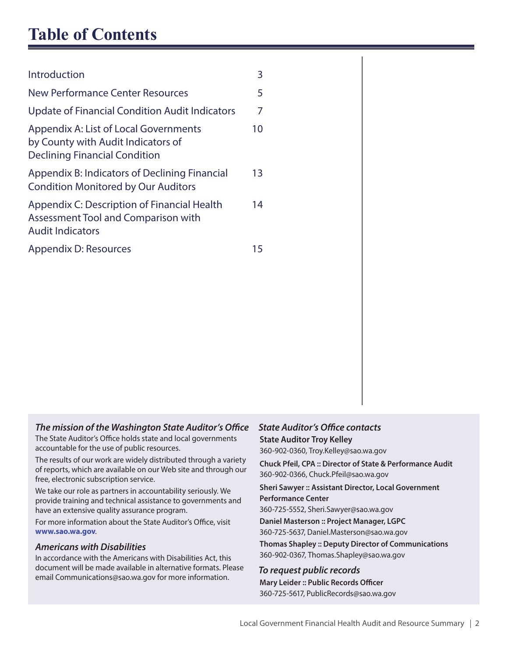## **Table of Contents**

| Introduction                                                                                                        | 3  |
|---------------------------------------------------------------------------------------------------------------------|----|
| New Performance Center Resources                                                                                    | 5  |
| Update of Financial Condition Audit Indicators                                                                      | 7  |
| Appendix A: List of Local Governments<br>by County with Audit Indicators of<br><b>Declining Financial Condition</b> | 10 |
| Appendix B: Indicators of Declining Financial<br><b>Condition Monitored by Our Auditors</b>                         | 13 |
| Appendix C: Description of Financial Health<br>Assessment Tool and Comparison with<br><b>Audit Indicators</b>       | 14 |
| Appendix D: Resources                                                                                               | 15 |

#### *The mission of the Washington State Auditor's Office*

The State Auditor's Office holds state and local governments accountable for the use of public resources.

The results of our work are widely distributed through a variety of reports, which are available on our Web site and through our free, electronic subscription service.

We take our role as partners in accountability seriously. We provide training and technical assistance to governments and have an extensive quality assurance program.

For more information about the State Auditor's Office, visit **www.sao.wa.gov**.

#### *Americans with Disabilities*

In accordance with the Americans with Disabilities Act, this document will be made available in alternative formats. Please email Communications@sao.wa.gov for more information.

## *State Auditor's Office contacts*

**State Auditor Troy Kelley**

360-902-0360, Troy.Kelley@sao.wa.gov

**Chuck Pfeil, CPA :: Director of State & Performance Audit** 360-902-0366, Chuck.Pfeil@sao.wa.gov

#### **Sheri Sawyer :: Assistant Director, Local Government Performance Center**

360-725-5552, Sheri.Sawyer@sao.wa.gov

**Daniel Masterson :: Project Manager, LGPC** 360-725-5637, Daniel.Masterson@sao.wa.gov

**Thomas Shapley :: Deputy Director of Communications** 360-902-0367, Thomas.Shapley@sao.wa.gov

#### *To request public records*

**Mary Leider :: Public Records Officer** 360-725-5617, PublicRecords@sao.wa.gov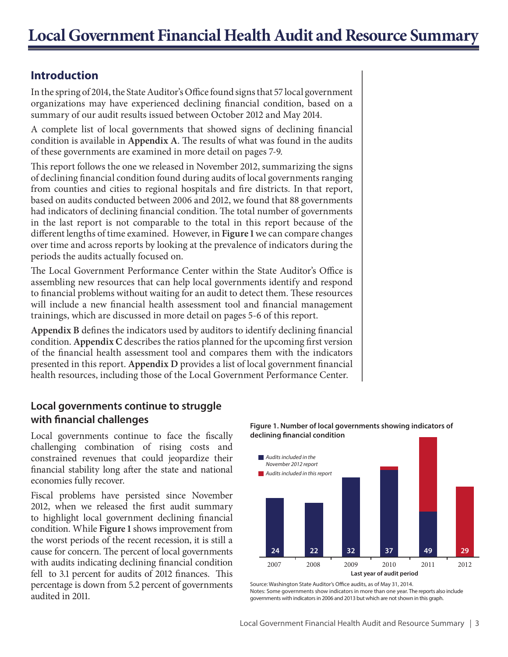## **Introduction**

In the spring of 2014, the State Auditor's Office found signs that 57 local government organizations may have experienced declining financial condition, based on a summary of our audit results issued between October 2012 and May 2014.

A complete list of local governments that showed signs of declining financial condition is available in **Appendix A**. The results of what was found in the audits of these governments are examined in more detail on pages 7-9.

This report follows the one we released in November 2012, summarizing the signs of declining financial condition found during audits of local governments ranging from counties and cities to regional hospitals and fire districts. In that report, based on audits conducted between 2006 and 2012, we found that 88 governments had indicators of declining financial condition. The total number of governments in the last report is not comparable to the total in this report because of the different lengths of time examined. However, in **Figure 1** we can compare changes over time and across reports by looking at the prevalence of indicators during the periods the audits actually focused on.

The Local Government Performance Center within the State Auditor's Office is assembling new resources that can help local governments identify and respond to financial problems without waiting for an audit to detect them. These resources will include a new financial health assessment tool and financial management trainings, which are discussed in more detail on pages 5-6 of this report.

**Appendix B** defines the indicators used by auditors to identify declining financial condition. **Appendix C** describes the ratios planned for the upcoming first version of the financial health assessment tool and compares them with the indicators presented in this report. **Appendix D** provides a list of local government financial health resources, including those of the Local Government Performance Center.

## **Local governments continue to struggle with financial challenges**

Local governments continue to face the fiscally challenging combination of rising costs and constrained revenues that could jeopardize their financial stability long after the state and national economies fully recover.

Fiscal problems have persisted since November 2012, when we released the first audit summary to highlight local government declining financial condition. While **Figure 1** shows improvement from the worst periods of the recent recession, it is still a cause for concern. The percent of local governments with audits indicating declining financial condition fell to 3.1 percent for audits of 2012 finances. This percentage is down from 5.2 percent of governments audited in 2011.

**Last year of audit period** 2007 2008 2009 2010 2011 2012 **24 22 32 37 49 29** *Audits included in this report Audits included in the November 2012 report*

**Figure 1. Number of local governments showing indicators of declining nancial condition** 

Source: Washington State Auditor's Office audits, as of May 31, 2014. Notes: Some governments show indicators in more than one year. The reports also include governments with indicators in 2006 and 2013 but which are not shown in this graph.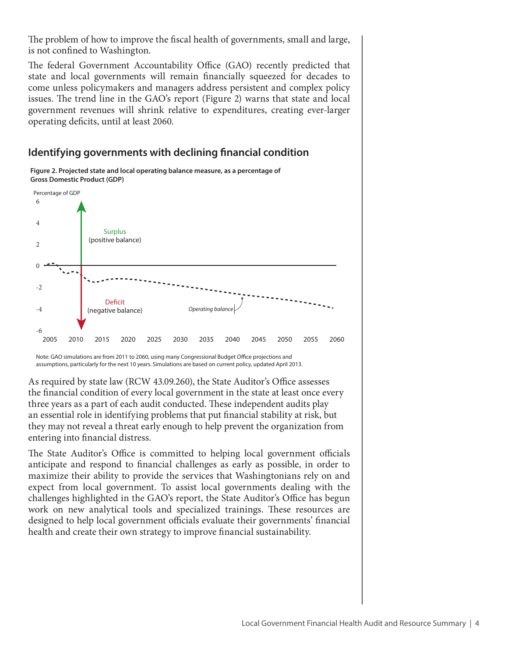The problem of how to improve the fiscal health of governments, small and large, is not confined to Washington.

The federal Government Accountability Office (GAO) recently predicted that state and local governments will remain financially squeezed for decades to come unless policymakers and managers address persistent and complex policy issues. The trend line in the GAO's report (Figure 2) warns that state and local government revenues will shrink relative to expenditures, creating ever-larger operating deficits, until at least 2060.

## **Identifying governments with declining financial condition**



**Figure 2. Projected state and local operating balance measure, as a percentage of Gross Domestic Product (GDP)**

Note: GAO simulations are from 2011 to 2060, using many Congressional Budget Office projections and assumptions, particularly for the next 10 years. Simulations are based on current policy, updated April 2013.

As required by state law (RCW 43.09.260), the State Auditor's Office assesses the financial condition of every local government in the state at least once every three years as a part of each audit conducted. These independent audits play an essential role in identifying problems that put financial stability at risk, but they may not reveal a threat early enough to help prevent the organization from entering into financial distress.

The State Auditor's Office is committed to helping local government officials anticipate and respond to financial challenges as early as possible, in order to maximize their ability to provide the services that Washingtonians rely on and expect from local government. To assist local governments dealing with the challenges highlighted in the GAO's report, the State Auditor's Office has begun work on new analytical tools and specialized trainings. These resources are designed to help local government officials evaluate their governments' financial health and create their own strategy to improve financial sustainability.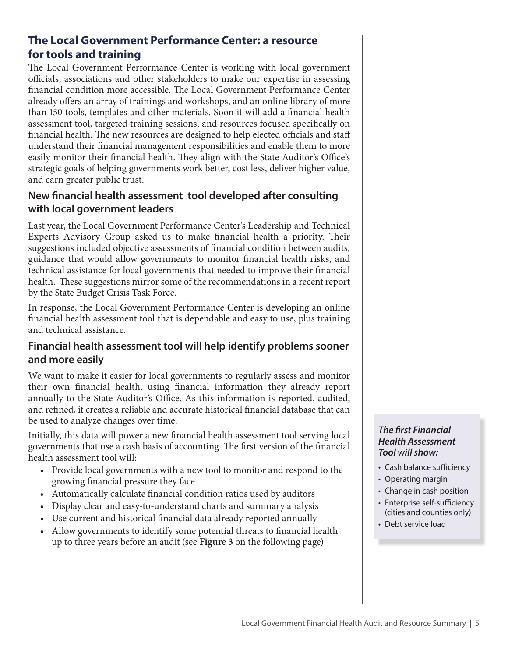## **The Local Government Performance Center: a resource for tools and training**

The Local Government Performance Center is working with local government officials, associations and other stakeholders to make our expertise in assessing financial condition more accessible. The Local Government Performance Center already offers an array of trainings and workshops, and an online library of more than 150 tools, templates and other materials. Soon it will add a financial health assessment tool, targeted training sessions, and resources focused specifically on financial health. The new resources are designed to help elected officials and staff understand their financial management responsibilities and enable them to more easily monitor their financial health. They align with the State Auditor's Office's strategic goals of helping governments work better, cost less, deliver higher value, and earn greater public trust.

## **New financial health assessment tool developed after consulting with local government leaders**

Last year, the Local Government Performance Center's Leadership and Technical Experts Advisory Group asked us to make financial health a priority. Their suggestions included objective assessments of financial condition between audits, guidance that would allow governments to monitor financial health risks, and technical assistance for local governments that needed to improve their financial health. These suggestions mirror some of the recommendations in a recent report by the State Budget Crisis Task Force.

In response, the Local Government Performance Center is developing an online financial health assessment tool that is dependable and easy to use, plus training and technical assistance.

## **Financial health assessment tool will help identify problems sooner and more easily**

We want to make it easier for local governments to regularly assess and monitor their own financial health, using financial information they already report annually to the State Auditor's Office. As this information is reported, audited, and refined, it creates a reliable and accurate historical financial database that can be used to analyze changes over time.

Initially, this data will power a new financial health assessment tool serving local governments that use a cash basis of accounting. The first version of the financial health assessment tool will:

- Provide local governments with a new tool to monitor and respond to the growing financial pressure they face
- Automatically calculate financial condition ratios used by auditors
- Display clear and easy-to-understand charts and summary analysis
- Use current and historical financial data already reported annually
- Allow governments to identify some potential threats to financial health up to three years before an audit (see **Figure 3** on the following page)

#### *The first Financial Health Assessment Tool will show:*

- Cash balance sufficiency
- Operating margin
- Change in cash position
- Enterprise self-sufficiency (cities and counties only)
- Debt service load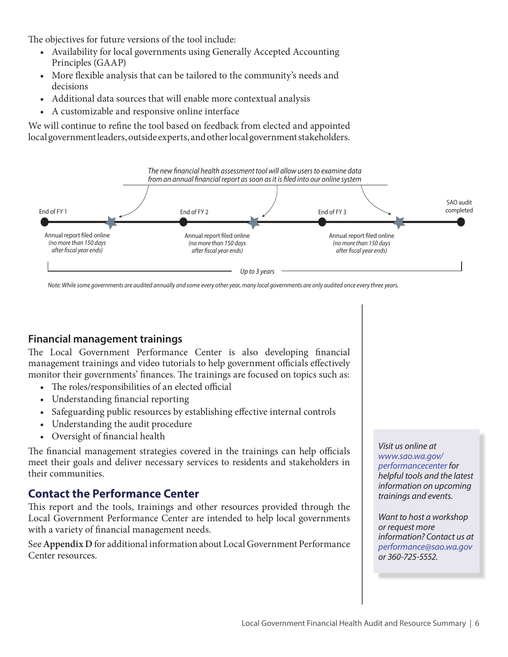The objectives for future versions of the tool include:

- Availability for local governments using Generally Accepted Accounting Principles (GAAP)
- More flexible analysis that can be tailored to the community's needs and decisions
- Additional data sources that will enable more contextual analysis
- A customizable and responsive online interface

We will continue to refine the tool based on feedback from elected and appointed local government leaders, outside experts, and other local government stakeholders.



*Note: While some governments are audited annually and some every other year, many local governments are only audited once every three years.*

#### **Financial management trainings**

The Local Government Performance Center is also developing financial management trainings and video tutorials to help government officials effectively monitor their governments' finances. The trainings are focused on topics such as:

- The roles/responsibilities of an elected official
- Understanding financial reporting
- Safeguarding public resources by establishing effective internal controls
- Understanding the audit procedure
- • Oversight of financial health

The financial management strategies covered in the trainings can help officials meet their goals and deliver necessary services to residents and stakeholders in their communities.

## **Contact the Performance Center**

This report and the tools, trainings and other resources provided through the Local Government Performance Center are intended to help local governments with a variety of financial management needs.

See **Appendix D** for additional information about Local Government Performance Center resources.

*Visit us online at www.sao.wa.gov/ performancecenter for helpful tools and the latest information on upcoming trainings and events.* 

*Want to host a workshop or request more information? Contact us at performance@sao.wa.gov or 360-725-5552.*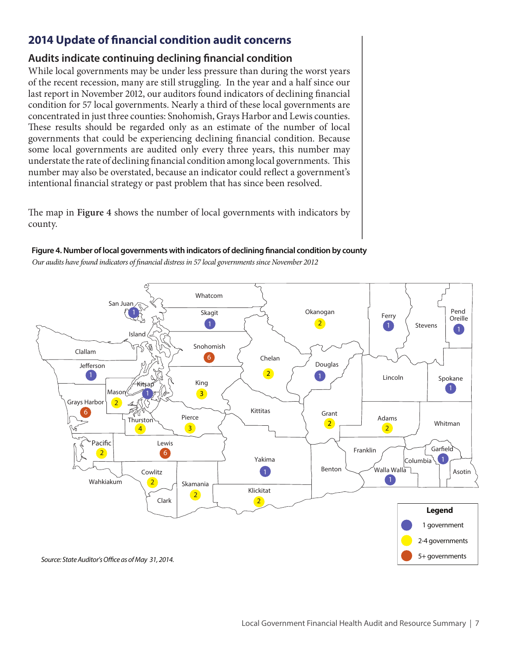## **2014 Update of financial condition audit concerns**

### **Audits indicate continuing declining financial condition**

While local governments may be under less pressure than during the worst years of the recent recession, many are still struggling. In the year and a half since our last report in November 2012, our auditors found indicators of declining financial condition for 57 local governments. Nearly a third of these local governments are concentrated in just three counties: Snohomish, Grays Harbor and Lewis counties. These results should be regarded only as an estimate of the number of local governments that could be experiencing declining financial condition. Because some local governments are audited only every three years, this number may understate the rate of declining financial condition among local governments. This number may also be overstated, because an indicator could reflect a government's intentional financial strategy or past problem that has since been resolved.

The map in **Figure 4** shows the number of local governments with indicators by county.



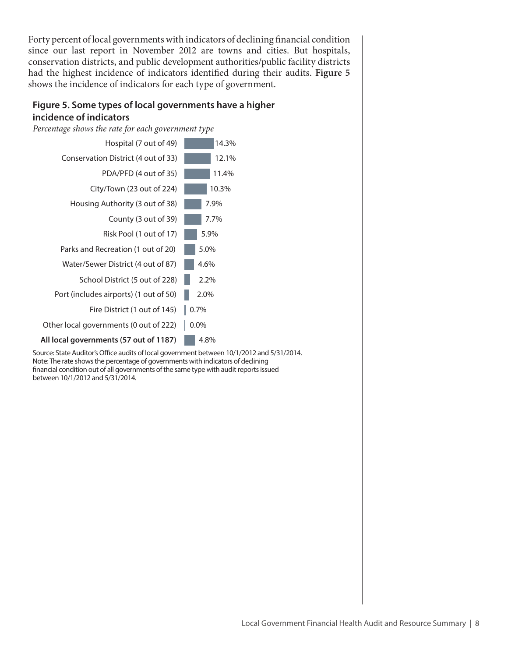Forty percent of local governments with indicators of declining financial condition since our last report in November 2012 are towns and cities. But hospitals, conservation districts, and public development authorities/public facility districts had the highest incidence of indicators identified during their audits. **Figure 5**  shows the incidence of indicators for each type of government.

#### **Figure 5. Some types of local governments have a higher incidence of indicators**

*Percentage shows the rate for each government type*



Source: State Auditor's Office audits of local government between 10/1/2012 and 5/31/2014. Note: The rate shows the percentage of governments with indicators of declining nancial condition out of all governments of the same type with audit reports issued between 10/1/2012 and 5/31/2014.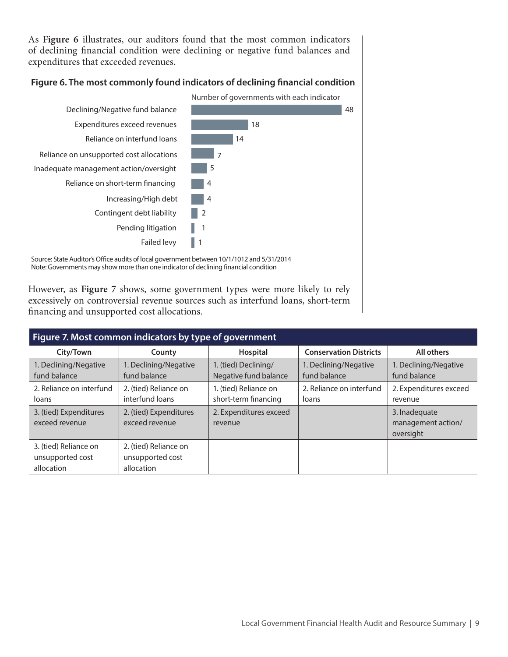As **Figure 6** illustrates, our auditors found that the most common indicators of declining financial condition were declining or negative fund balances and expenditures that exceeded revenues.

#### Figure 6. The most commonly found indicators of declining financial condition

Number of governments with each indicator



Source: State Auditor's Office audits of local government between 10/1/1012 and 5/31/2014 Note: Governments may show more than one indicator of declining financial condition

However, as **Figure 7** shows, some government types were more likely to rely excessively on controversial revenue sources such as interfund loans, short-term financing and unsupported cost allocations.

| Figure 7. Most common indicators by type of government  |                                                         |                                               |                                       |                                                  |  |  |  |  |
|---------------------------------------------------------|---------------------------------------------------------|-----------------------------------------------|---------------------------------------|--------------------------------------------------|--|--|--|--|
| City/Town                                               | County                                                  | Hospital                                      | <b>Conservation Districts</b>         | All others                                       |  |  |  |  |
| 1. Declining/Negative<br>fund balance                   | 1. Declining/Negative<br>fund balance                   | 1. (tied) Declining/<br>Negative fund balance | 1. Declining/Negative<br>fund balance | 1. Declining/Negative<br>fund balance            |  |  |  |  |
| 2. Reliance on interfund<br>loans                       | 2. (tied) Reliance on<br>interfund loans                | 1. (tied) Reliance on<br>short-term financing | 2. Reliance on interfund<br>loans     | 2. Expenditures exceed<br>revenue                |  |  |  |  |
| 3. (tied) Expenditures<br>exceed revenue                | 2. (tied) Expenditures<br>exceed revenue                | 2. Expenditures exceed<br>revenue             |                                       | 3. Inadequate<br>management action/<br>oversight |  |  |  |  |
| 3. (tied) Reliance on<br>unsupported cost<br>allocation | 2. (tied) Reliance on<br>unsupported cost<br>allocation |                                               |                                       |                                                  |  |  |  |  |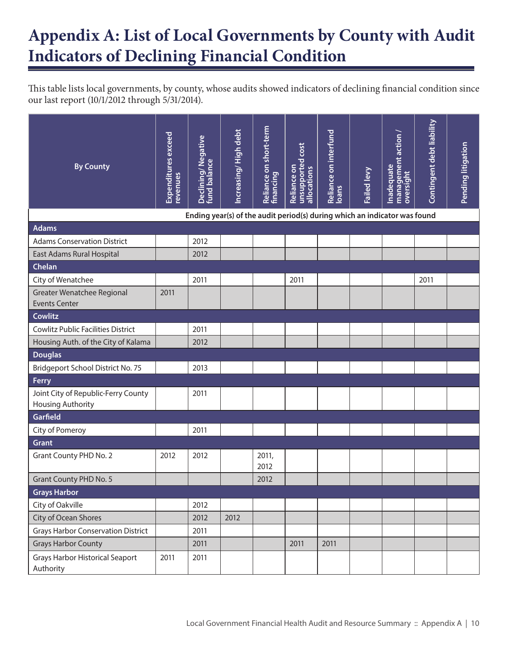## **Appendix A: List of Local Governments by County with Audit Indicators of Declining Financial Condition**

This table lists local governments, by county, whose audits showed indicators of declining financial condition since our last report (10/1/2012 through 5/31/2014).

| <b>By County</b>                                                | Expenditures exceed<br>revenues | Declining/Negative<br>fund balance                                        | Increasing/High debt | Reliance on short-term<br>financing | unsupported cost<br>Reliance on<br>allocations | Reliance on interfund<br><b>loans</b> | Failed levy | management action<br>Inadequate<br>oversight | Contingent debt liability | Pending litigation |
|-----------------------------------------------------------------|---------------------------------|---------------------------------------------------------------------------|----------------------|-------------------------------------|------------------------------------------------|---------------------------------------|-------------|----------------------------------------------|---------------------------|--------------------|
|                                                                 |                                 | Ending year(s) of the audit period(s) during which an indicator was found |                      |                                     |                                                |                                       |             |                                              |                           |                    |
| <b>Adams</b>                                                    |                                 |                                                                           |                      |                                     |                                                |                                       |             |                                              |                           |                    |
| <b>Adams Conservation District</b>                              |                                 | 2012                                                                      |                      |                                     |                                                |                                       |             |                                              |                           |                    |
| East Adams Rural Hospital                                       |                                 | 2012                                                                      |                      |                                     |                                                |                                       |             |                                              |                           |                    |
| Chelan                                                          |                                 |                                                                           |                      |                                     |                                                |                                       |             |                                              |                           |                    |
| City of Wenatchee                                               |                                 | 2011                                                                      |                      |                                     | 2011                                           |                                       |             |                                              | 2011                      |                    |
| Greater Wenatchee Regional<br><b>Events Center</b>              | 2011                            |                                                                           |                      |                                     |                                                |                                       |             |                                              |                           |                    |
| <b>Cowlitz</b>                                                  |                                 |                                                                           |                      |                                     |                                                |                                       |             |                                              |                           |                    |
| <b>Cowlitz Public Facilities District</b>                       |                                 | 2011                                                                      |                      |                                     |                                                |                                       |             |                                              |                           |                    |
| Housing Auth. of the City of Kalama                             |                                 | 2012                                                                      |                      |                                     |                                                |                                       |             |                                              |                           |                    |
| <b>Douglas</b>                                                  |                                 |                                                                           |                      |                                     |                                                |                                       |             |                                              |                           |                    |
| Bridgeport School District No. 75                               |                                 | 2013                                                                      |                      |                                     |                                                |                                       |             |                                              |                           |                    |
| Ferry                                                           |                                 |                                                                           |                      |                                     |                                                |                                       |             |                                              |                           |                    |
| Joint City of Republic-Ferry County<br><b>Housing Authority</b> |                                 | 2011                                                                      |                      |                                     |                                                |                                       |             |                                              |                           |                    |
| Garfield                                                        |                                 |                                                                           |                      |                                     |                                                |                                       |             |                                              |                           |                    |
| City of Pomeroy                                                 |                                 | 2011                                                                      |                      |                                     |                                                |                                       |             |                                              |                           |                    |
| <b>Grant</b>                                                    |                                 |                                                                           |                      |                                     |                                                |                                       |             |                                              |                           |                    |
| <b>Grant County PHD No. 2</b>                                   | 2012                            | 2012                                                                      |                      | 2011,<br>2012                       |                                                |                                       |             |                                              |                           |                    |
| <b>Grant County PHD No. 5</b>                                   |                                 |                                                                           |                      | 2012                                |                                                |                                       |             |                                              |                           |                    |
| <b>Grays Harbor</b>                                             |                                 |                                                                           |                      |                                     |                                                |                                       |             |                                              |                           |                    |
| City of Oakville                                                |                                 | 2012                                                                      |                      |                                     |                                                |                                       |             |                                              |                           |                    |
| City of Ocean Shores                                            |                                 | 2012                                                                      | 2012                 |                                     |                                                |                                       |             |                                              |                           |                    |
| <b>Grays Harbor Conservation District</b>                       |                                 | 2011                                                                      |                      |                                     |                                                |                                       |             |                                              |                           |                    |
| <b>Grays Harbor County</b>                                      |                                 | 2011                                                                      |                      |                                     | 2011                                           | 2011                                  |             |                                              |                           |                    |
| <b>Grays Harbor Historical Seaport</b><br>Authority             | 2011                            | 2011                                                                      |                      |                                     |                                                |                                       |             |                                              |                           |                    |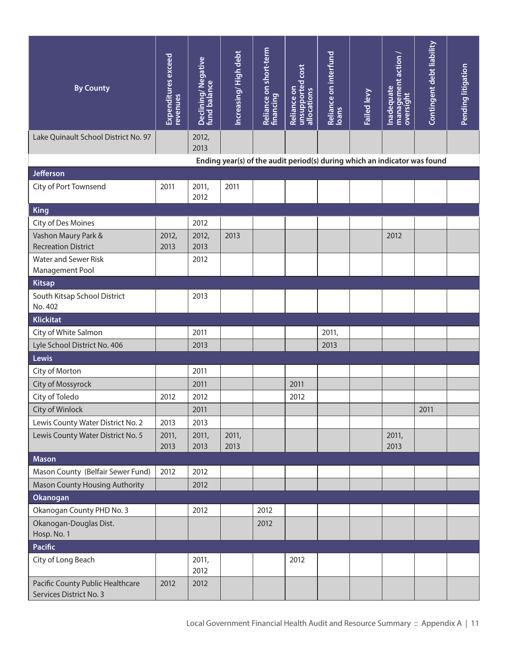| <b>By County</b>                                            | Expenditures exceed<br>revenues | Declining/Negative<br>fund balance | Increasing/High debt                                                      | Reliance on short-term<br>financing | unsupported cost<br>Reliance on<br>allocations | Reliance on interfund<br>Ioans | Failed levy | management action/<br>Inadequate<br><b>oversight</b> | Contingent debt liability | Pending litigation |
|-------------------------------------------------------------|---------------------------------|------------------------------------|---------------------------------------------------------------------------|-------------------------------------|------------------------------------------------|--------------------------------|-------------|------------------------------------------------------|---------------------------|--------------------|
| Lake Quinault School District No. 97                        |                                 | 2012,                              |                                                                           |                                     |                                                |                                |             |                                                      |                           |                    |
|                                                             |                                 | 2013                               | Ending year(s) of the audit period(s) during which an indicator was found |                                     |                                                |                                |             |                                                      |                           |                    |
| <b>Jefferson</b>                                            |                                 |                                    |                                                                           |                                     |                                                |                                |             |                                                      |                           |                    |
| City of Port Townsend                                       | 2011                            | 2011,<br>2012                      | 2011                                                                      |                                     |                                                |                                |             |                                                      |                           |                    |
| <b>King</b>                                                 |                                 |                                    |                                                                           |                                     |                                                |                                |             |                                                      |                           |                    |
| City of Des Moines                                          |                                 | 2012                               |                                                                           |                                     |                                                |                                |             |                                                      |                           |                    |
| Vashon Maury Park &<br><b>Recreation District</b>           | 2012,<br>2013                   | 2012,<br>2013                      | 2013                                                                      |                                     |                                                |                                |             | 2012                                                 |                           |                    |
| Water and Sewer Risk<br>Management Pool                     |                                 | 2012                               |                                                                           |                                     |                                                |                                |             |                                                      |                           |                    |
| <b>Kitsap</b>                                               |                                 |                                    |                                                                           |                                     |                                                |                                |             |                                                      |                           |                    |
| South Kitsap School District<br>No. 402                     |                                 | 2013                               |                                                                           |                                     |                                                |                                |             |                                                      |                           |                    |
| <b>Klickitat</b>                                            |                                 |                                    |                                                                           |                                     |                                                |                                |             |                                                      |                           |                    |
| City of White Salmon                                        |                                 | 2011                               |                                                                           |                                     |                                                | 2011,                          |             |                                                      |                           |                    |
| Lyle School District No. 406                                |                                 | 2013                               |                                                                           |                                     |                                                | 2013                           |             |                                                      |                           |                    |
| Lewis                                                       |                                 |                                    |                                                                           |                                     |                                                |                                |             |                                                      |                           |                    |
| City of Morton                                              |                                 | 2011                               |                                                                           |                                     |                                                |                                |             |                                                      |                           |                    |
| City of Mossyrock                                           |                                 | 2011                               |                                                                           |                                     | 2011                                           |                                |             |                                                      |                           |                    |
| City of Toledo                                              | 2012                            | 2012                               |                                                                           |                                     | 2012                                           |                                |             |                                                      |                           |                    |
| City of Winlock                                             |                                 | 2011                               |                                                                           |                                     |                                                |                                |             |                                                      | 2011                      |                    |
| Lewis County Water District No. 2                           | 2013                            | 2013                               |                                                                           |                                     |                                                |                                |             |                                                      |                           |                    |
| Lewis County Water District No. 5                           | 2011,<br>2013                   | 2011,<br>2013                      | 2011,<br>2013                                                             |                                     |                                                |                                |             | 2011,<br>2013                                        |                           |                    |
| <b>Mason</b>                                                |                                 |                                    |                                                                           |                                     |                                                |                                |             |                                                      |                           |                    |
| Mason County (Belfair Sewer Fund)                           | 2012                            | 2012                               |                                                                           |                                     |                                                |                                |             |                                                      |                           |                    |
| <b>Mason County Housing Authority</b>                       |                                 | 2012                               |                                                                           |                                     |                                                |                                |             |                                                      |                           |                    |
| Okanogan                                                    |                                 |                                    |                                                                           |                                     |                                                |                                |             |                                                      |                           |                    |
| Okanogan County PHD No. 3                                   |                                 | 2012                               |                                                                           | 2012                                |                                                |                                |             |                                                      |                           |                    |
| Okanogan-Douglas Dist.                                      |                                 |                                    |                                                                           | 2012                                |                                                |                                |             |                                                      |                           |                    |
| Hosp. No. 1<br><b>Pacific</b>                               |                                 |                                    |                                                                           |                                     |                                                |                                |             |                                                      |                           |                    |
| City of Long Beach                                          |                                 | 2011,<br>2012                      |                                                                           |                                     | 2012                                           |                                |             |                                                      |                           |                    |
| Pacific County Public Healthcare<br>Services District No. 3 | 2012                            | 2012                               |                                                                           |                                     |                                                |                                |             |                                                      |                           |                    |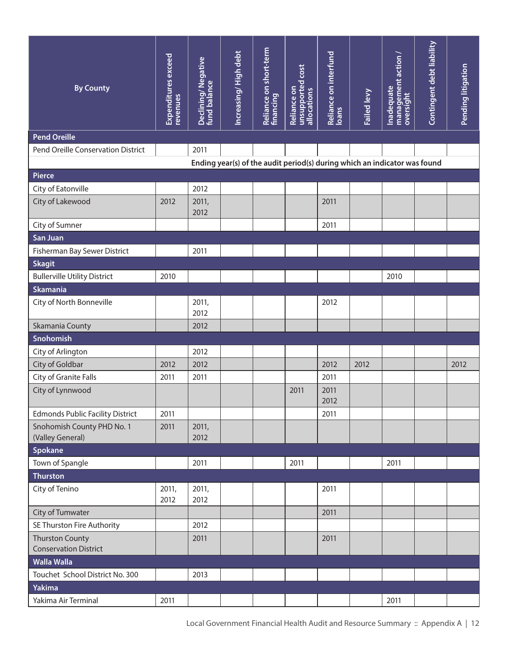| <b>By County</b>                               | <b>Expenditures</b> exceed<br>revenues | Declining/Negative<br>fund balance | Increasing/High debt | Reliance on short-term<br>financing | unsupported cost <br>allocations<br>Reliance on | Reliance on interfund<br>Ioans | Failed levy                                                               | management action /<br>oversight<br>Inadequate | Contingent debt liability | Pending litigation |
|------------------------------------------------|----------------------------------------|------------------------------------|----------------------|-------------------------------------|-------------------------------------------------|--------------------------------|---------------------------------------------------------------------------|------------------------------------------------|---------------------------|--------------------|
| <b>Pend Oreille</b>                            |                                        |                                    |                      |                                     |                                                 |                                |                                                                           |                                                |                           |                    |
| Pend Oreille Conservation District             |                                        | 2011                               |                      |                                     |                                                 |                                |                                                                           |                                                |                           |                    |
|                                                |                                        |                                    |                      |                                     |                                                 |                                | Ending year(s) of the audit period(s) during which an indicator was found |                                                |                           |                    |
| <b>Pierce</b>                                  |                                        |                                    |                      |                                     |                                                 |                                |                                                                           |                                                |                           |                    |
| City of Eatonville                             |                                        | 2012                               |                      |                                     |                                                 |                                |                                                                           |                                                |                           |                    |
| City of Lakewood                               | 2012                                   | 2011,<br>2012                      |                      |                                     |                                                 | 2011                           |                                                                           |                                                |                           |                    |
| City of Sumner                                 |                                        |                                    |                      |                                     |                                                 | 2011                           |                                                                           |                                                |                           |                    |
| San Juan                                       |                                        |                                    |                      |                                     |                                                 |                                |                                                                           |                                                |                           |                    |
| Fisherman Bay Sewer District                   |                                        | 2011                               |                      |                                     |                                                 |                                |                                                                           |                                                |                           |                    |
| <b>Skagit</b>                                  |                                        |                                    |                      |                                     |                                                 |                                |                                                                           |                                                |                           |                    |
| <b>Bullerville Utility District</b>            | 2010                                   |                                    |                      |                                     |                                                 |                                |                                                                           | 2010                                           |                           |                    |
| <b>Skamania</b>                                |                                        |                                    |                      |                                     |                                                 |                                |                                                                           |                                                |                           |                    |
| City of North Bonneville                       |                                        | 2011,<br>2012                      |                      |                                     |                                                 | 2012                           |                                                                           |                                                |                           |                    |
| Skamania County                                |                                        | 2012                               |                      |                                     |                                                 |                                |                                                                           |                                                |                           |                    |
| Snohomish                                      |                                        |                                    |                      |                                     |                                                 |                                |                                                                           |                                                |                           |                    |
| City of Arlington                              |                                        | 2012                               |                      |                                     |                                                 |                                |                                                                           |                                                |                           |                    |
| City of Goldbar                                | 2012                                   | 2012                               |                      |                                     |                                                 | 2012                           | 2012                                                                      |                                                |                           | 2012               |
| City of Granite Falls                          | 2011                                   | 2011                               |                      |                                     |                                                 | 2011                           |                                                                           |                                                |                           |                    |
| City of Lynnwood                               |                                        |                                    |                      |                                     | 2011                                            | 2011<br>2012                   |                                                                           |                                                |                           |                    |
| <b>Edmonds Public Facility District</b>        | 2011                                   |                                    |                      |                                     |                                                 | 2011                           |                                                                           |                                                |                           |                    |
| Snohomish County PHD No. 1<br>(Valley General) | 2011                                   | 2011,<br>2012                      |                      |                                     |                                                 |                                |                                                                           |                                                |                           |                    |
| Spokane                                        |                                        |                                    |                      |                                     |                                                 |                                |                                                                           |                                                |                           |                    |
| Town of Spangle                                |                                        | 2011                               |                      |                                     | 2011                                            |                                |                                                                           | 2011                                           |                           |                    |
| <b>Thurston</b>                                |                                        |                                    |                      |                                     |                                                 |                                |                                                                           |                                                |                           |                    |
| City of Tenino                                 | 2011,<br>2012                          | 2011,<br>2012                      |                      |                                     |                                                 | 2011                           |                                                                           |                                                |                           |                    |
| City of Tumwater                               |                                        |                                    |                      |                                     |                                                 | 2011                           |                                                                           |                                                |                           |                    |
| SE Thurston Fire Authority                     |                                        | 2012                               |                      |                                     |                                                 |                                |                                                                           |                                                |                           |                    |
| <b>Thurston County</b>                         |                                        | 2011                               |                      |                                     |                                                 | 2011                           |                                                                           |                                                |                           |                    |
| <b>Conservation District</b>                   |                                        |                                    |                      |                                     |                                                 |                                |                                                                           |                                                |                           |                    |
| <b>Walla Walla</b>                             |                                        |                                    |                      |                                     |                                                 |                                |                                                                           |                                                |                           |                    |
| Touchet School District No. 300                |                                        | 2013                               |                      |                                     |                                                 |                                |                                                                           |                                                |                           |                    |
| Yakima                                         |                                        |                                    |                      |                                     |                                                 |                                |                                                                           |                                                |                           |                    |
| Yakima Air Terminal                            | 2011                                   |                                    |                      |                                     |                                                 |                                |                                                                           | 2011                                           |                           |                    |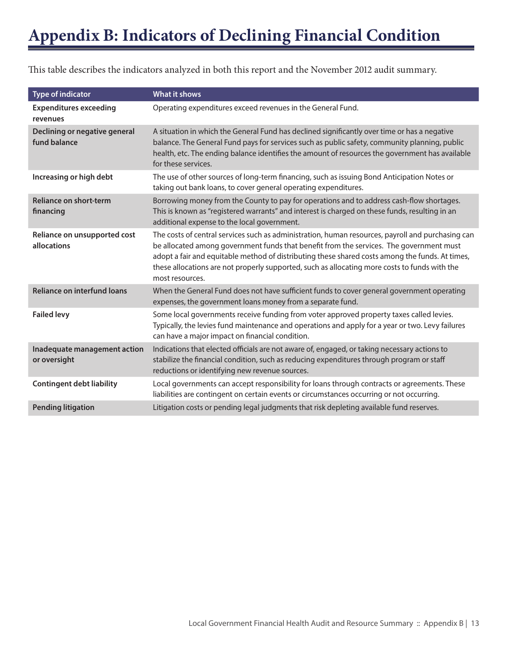This table describes the indicators analyzed in both this report and the November 2012 audit summary.

| <b>Type of indicator</b>                      | <b>What it shows</b>                                                                                                                                                                                                                                                                                                                                                                                                |
|-----------------------------------------------|---------------------------------------------------------------------------------------------------------------------------------------------------------------------------------------------------------------------------------------------------------------------------------------------------------------------------------------------------------------------------------------------------------------------|
| <b>Expenditures exceeding</b><br>revenues     | Operating expenditures exceed revenues in the General Fund.                                                                                                                                                                                                                                                                                                                                                         |
| Declining or negative general<br>fund balance | A situation in which the General Fund has declined significantly over time or has a negative<br>balance. The General Fund pays for services such as public safety, community planning, public<br>health, etc. The ending balance identifies the amount of resources the government has available<br>for these services.                                                                                             |
| Increasing or high debt                       | The use of other sources of long-term financing, such as issuing Bond Anticipation Notes or<br>taking out bank loans, to cover general operating expenditures.                                                                                                                                                                                                                                                      |
| Reliance on short-term<br>financing           | Borrowing money from the County to pay for operations and to address cash-flow shortages.<br>This is known as "registered warrants" and interest is charged on these funds, resulting in an<br>additional expense to the local government.                                                                                                                                                                          |
| Reliance on unsupported cost<br>allocations   | The costs of central services such as administration, human resources, payroll and purchasing can<br>be allocated among government funds that benefit from the services. The government must<br>adopt a fair and equitable method of distributing these shared costs among the funds. At times,<br>these allocations are not properly supported, such as allocating more costs to funds with the<br>most resources. |
| <b>Reliance on interfund loans</b>            | When the General Fund does not have sufficient funds to cover general government operating<br>expenses, the government loans money from a separate fund.                                                                                                                                                                                                                                                            |
| <b>Failed levy</b>                            | Some local governments receive funding from voter approved property taxes called levies.<br>Typically, the levies fund maintenance and operations and apply for a year or two. Levy failures<br>can have a major impact on financial condition.                                                                                                                                                                     |
| Inadequate management action<br>or oversight  | Indications that elected officials are not aware of, engaged, or taking necessary actions to<br>stabilize the financial condition, such as reducing expenditures through program or staff<br>reductions or identifying new revenue sources.                                                                                                                                                                         |
| <b>Contingent debt liability</b>              | Local governments can accept responsibility for loans through contracts or agreements. These<br>liabilities are contingent on certain events or circumstances occurring or not occurring.                                                                                                                                                                                                                           |
| <b>Pending litigation</b>                     | Litigation costs or pending legal judgments that risk depleting available fund reserves.                                                                                                                                                                                                                                                                                                                            |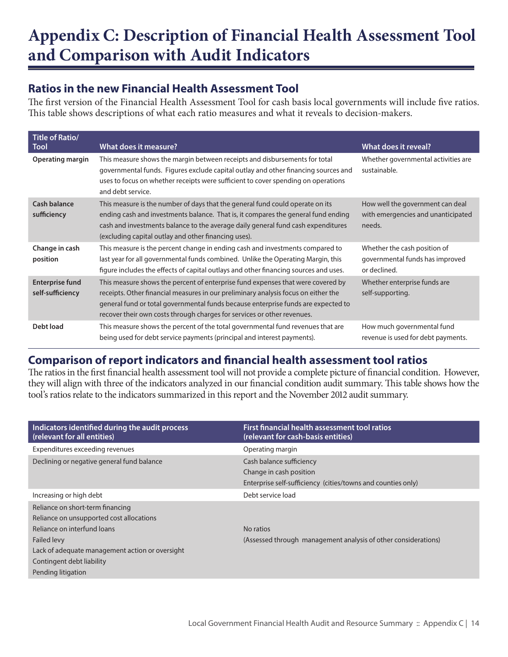## **Appendix C: Description of Financial Health Assessment Tool and Comparison with Audit Indicators**

## **Ratios in the new Financial Health Assessment Tool**

The first version of the Financial Health Assessment Tool for cash basis local governments will include five ratios. This table shows descriptions of what each ratio measures and what it reveals to decision-makers.

| Title of Ratio/<br><b>Tool</b>             | What does it measure?                                                                                                                                                                                                                                                                                                                 | What does it reveal?                                                             |
|--------------------------------------------|---------------------------------------------------------------------------------------------------------------------------------------------------------------------------------------------------------------------------------------------------------------------------------------------------------------------------------------|----------------------------------------------------------------------------------|
| Operating margin                           | This measure shows the margin between receipts and disbursements for total<br>governmental funds. Figures exclude capital outlay and other financing sources and<br>uses to focus on whether receipts were sufficient to cover spending on operations<br>and debt service.                                                            | Whether governmental activities are<br>sustainable.                              |
| <b>Cash balance</b><br>sufficiency         | This measure is the number of days that the general fund could operate on its<br>ending cash and investments balance. That is, it compares the general fund ending<br>cash and investments balance to the average daily general fund cash expenditures<br>(excluding capital outlay and other financing uses).                        | How well the government can deal<br>with emergencies and unanticipated<br>needs. |
| Change in cash<br>position                 | This measure is the percent change in ending cash and investments compared to<br>last year for all governmental funds combined. Unlike the Operating Margin, this<br>figure includes the effects of capital outlays and other financing sources and uses.                                                                             | Whether the cash position of<br>governmental funds has improved<br>or declined.  |
| <b>Enterprise fund</b><br>self-sufficiency | This measure shows the percent of enterprise fund expenses that were covered by<br>receipts. Other financial measures in our preliminary analysis focus on either the<br>general fund or total governmental funds because enterprise funds are expected to<br>recover their own costs through charges for services or other revenues. | Whether enterprise funds are<br>self-supporting.                                 |
| Debt load                                  | This measure shows the percent of the total governmental fund revenues that are<br>being used for debt service payments (principal and interest payments).                                                                                                                                                                            | How much governmental fund<br>revenue is used for debt payments.                 |

## **Comparison of report indicators and financial health assessment tool ratios**

The ratios in the first financial health assessment tool will not provide a complete picture of financial condition. However, they will align with three of the indicators analyzed in our financial condition audit summary. This table shows how the tool's ratios relate to the indicators summarized in this report and the November 2012 audit summary.

| Indicators identified during the audit process<br>(relevant for all entities) | First financial health assessment tool ratios<br>(relevant for cash-basis entities) |
|-------------------------------------------------------------------------------|-------------------------------------------------------------------------------------|
| Expenditures exceeding revenues                                               | Operating margin                                                                    |
| Declining or negative general fund balance                                    | Cash balance sufficiency                                                            |
|                                                                               | Change in cash position                                                             |
|                                                                               | Enterprise self-sufficiency (cities/towns and counties only)                        |
| Increasing or high debt                                                       | Debt service load                                                                   |
| Reliance on short-term financing                                              |                                                                                     |
| Reliance on unsupported cost allocations                                      |                                                                                     |
| Reliance on interfund loans                                                   | No ratios                                                                           |
| <b>Failed levy</b>                                                            | (Assessed through management analysis of other considerations)                      |
| Lack of adequate management action or oversight                               |                                                                                     |
| Contingent debt liability                                                     |                                                                                     |
| Pending litigation                                                            |                                                                                     |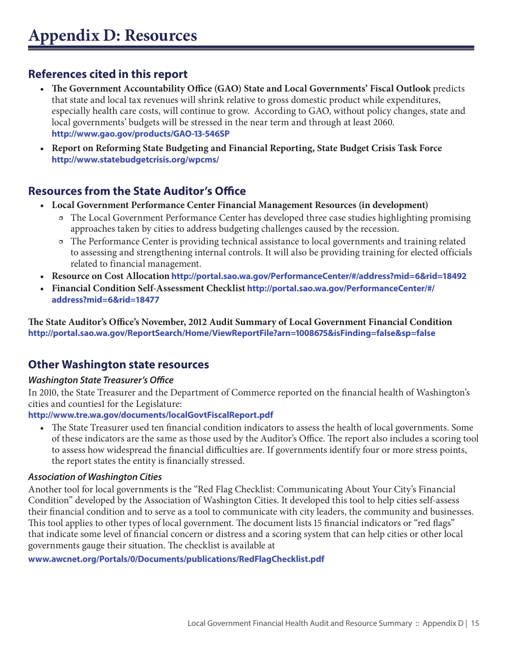## **References cited in this report**

- **• The Government Accountability Office (GAO) State and Local Governments' Fiscal Outlook** predicts that state and local tax revenues will shrink relative to gross domestic product while expenditures, especially health care costs, will continue to grow. According to GAO, without policy changes, state and local governments' budgets will be stressed in the near term and through at least 2060. **http://www.gao.gov/products/GAO-13-546SP**
- **• Report on Reforming State Budgeting and Financial Reporting, State Budget Crisis Task Force http://www.statebudgetcrisis.org/wpcms/**

## **Resources from the State Auditor's Office**

- **• Local Government Performance Center Financial Management Resources (in development)**
	- ӽ The Local Government Performance Center has developed three case studies highlighting promising approaches taken by cities to address budgeting challenges caused by the recession.
	- ӽ The Performance Center is providing technical assistance to local governments and training related to assessing and strengthening internal controls. It will also be providing training for elected officials related to financial management.
- **• Resource on Cost Allocation http://portal.sao.wa.gov/PerformanceCenter/#/address?mid=6&rid=18492**
- **• Financial Condition Self-Assessment Checklist http://portal.sao.wa.gov/PerformanceCenter/#/ address?mid=6&rid=18477**

**The State Auditor's Office's November, 2012 Audit Summary of Local Government Financial Condition http://portal.sao.wa.gov/ReportSearch/Home/ViewReportFile?arn=1008675&isFinding=false&sp=false**

## **Other Washington state resources**

#### *Washington State Treasurer's Office*

In 2010, the State Treasurer and the Department of Commerce reported on the financial health of Washington's cities and counties1 for the Legislature:

#### **http://www.tre.wa.gov/documents/localGovtFiscalReport.pdf**

The State Treasurer used ten financial condition indicators to assess the health of local governments. Some of these indicators are the same as those used by the Auditor's Office. The report also includes a scoring tool to assess how widespread the financial difficulties are. If governments identify four or more stress points, the report states the entity is financially stressed.

#### *Association of Washington Cities*

Another tool for local governments is the "Red Flag Checklist: Communicating About Your City's Financial Condition" developed by the Association of Washington Cities. It developed this tool to help cities self-assess their financial condition and to serve as a tool to communicate with city leaders, the community and businesses. This tool applies to other types of local government. The document lists 15 financial indicators or "red flags" that indicate some level of financial concern or distress and a scoring system that can help cities or other local governments gauge their situation. The checklist is available at

#### **www.awcnet.org/Portals/0/Documents/publications/RedFlagChecklist.pdf**